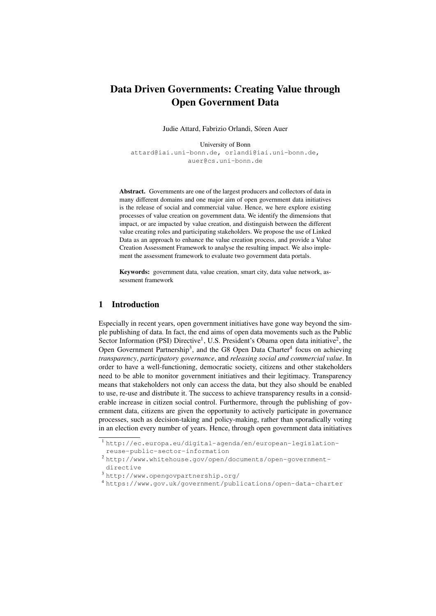# Data Driven Governments: Creating Value through Open Government Data

Judie Attard, Fabrizio Orlandi, Sören Auer

University of Bonn attard@iai.uni-bonn.de, orlandi@iai.uni-bonn.de, auer@cs.uni-bonn.de

Abstract. Governments are one of the largest producers and collectors of data in many different domains and one major aim of open government data initiatives is the release of social and commercial value. Hence, we here explore existing processes of value creation on government data. We identify the dimensions that impact, or are impacted by value creation, and distinguish between the different value creating roles and participating stakeholders. We propose the use of Linked Data as an approach to enhance the value creation process, and provide a Value Creation Assessment Framework to analyse the resulting impact. We also implement the assessment framework to evaluate two government data portals.

Keywords: government data, value creation, smart city, data value network, assessment framework

## 1 Introduction

Especially in recent years, open government initiatives have gone way beyond the simple publishing of data. In fact, the end aims of open data movements such as the Public Sector Information (PSI) Directive<sup>1</sup>, U.S. President's Obama open data initiative<sup>2</sup>, the Open Government Partnership<sup>3</sup>, and the G8 Open Data Charter<sup>4</sup> focus on achieving *transparency*, *participatory governance*, and *releasing social and commercial value*. In order to have a well-functioning, democratic society, citizens and other stakeholders need to be able to monitor government initiatives and their legitimacy. Transparency means that stakeholders not only can access the data, but they also should be enabled to use, re-use and distribute it. The success to achieve transparency results in a considerable increase in citizen social control. Furthermore, through the publishing of government data, citizens are given the opportunity to actively participate in governance processes, such as decision-taking and policy-making, rather than sporadically voting in an election every number of years. Hence, through open government data initiatives

<sup>1</sup> http://ec.europa.eu/digital-agenda/en/european-legislationreuse-public-sector-information

<sup>2</sup> http://www.whitehouse.gov/open/documents/open-governmentdirective

<sup>3</sup> http://www.opengovpartnership.org/

<sup>4</sup> https://www.gov.uk/government/publications/open-data-charter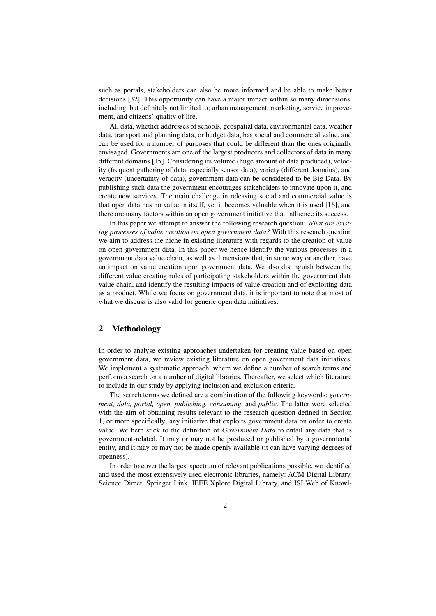such as portals, stakeholders can also be more informed and be able to make better decisions [32]. This opportunity can have a major impact within so many dimensions, including, but definitely not limited to; urban management, marketing, service improvement, and citizens' quality of life.

All data, whether addresses of schools, geospatial data, environmental data, weather data, transport and planning data, or budget data, has social and commercial value, and can be used for a number of purposes that could be different than the ones originally envisaged. Governments are one of the largest producers and collectors of data in many different domains [15]. Considering its volume (huge amount of data produced), velocity (frequent gathering of data, especially sensor data), variety (different domains), and veracity (uncertainty of data), government data can be considered to be Big Data. By publishing such data the government encourages stakeholders to innovate upon it, and create new services. The main challenge in releasing social and commercial value is that open data has no value in itself, yet it becomes valuable when it is used [16], and there are many factors within an open government initiative that influence its success.

In this paper we attempt to answer the following research question: *What are existing processes of value creation on open government data?* With this research question we aim to address the niche in existing literature with regards to the creation of value on open government data. In this paper we hence identify the various processes in a government data value chain, as well as dimensions that, in some way or another, have an impact on value creation upon government data. We also distinguish between the different value creating roles of participating stakeholders within the government data value chain, and identify the resulting impacts of value creation and of exploiting data as a product. While we focus on government data, it is important to note that most of what we discuss is also valid for generic open data initiatives.

#### 2 Methodology

In order to analyse existing approaches undertaken for creating value based on open government data, we review existing literature on open government data initiatives. We implement a systematic approach, where we define a number of search terms and perform a search on a number of digital libraries. Thereafter, we select which literature to include in our study by applying inclusion and exclusion criteria.

The search terms we defined are a combination of the following keywords: *government, data, portal, open, publishing, consuming*, and *public*. The latter were selected with the aim of obtaining results relevant to the research question defined in Section 1, or more specifically; any initiative that exploits government data on order to create value. We here stick to the definition of *Government Data* to entail any data that is government-related. It may or may not be produced or published by a governmental entity, and it may or may not be made openly available (it can have varying degrees of openness).

In order to cover the largest spectrum of relevant publications possible, we identified and used the most extensively used electronic libraries, namely: ACM Digital Library, Science Direct, Springer Link, IEEE Xplore Digital Library, and ISI Web of Knowl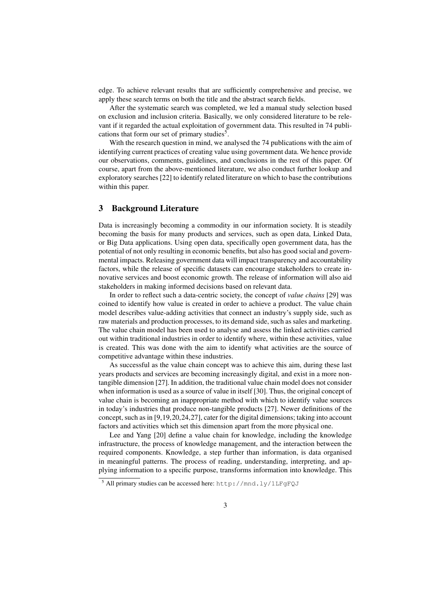edge. To achieve relevant results that are sufficiently comprehensive and precise, we apply these search terms on both the title and the abstract search fields.

After the systematic search was completed, we led a manual study selection based on exclusion and inclusion criteria. Basically, we only considered literature to be relevant if it regarded the actual exploitation of government data. This resulted in 74 publications that form our set of primary studies<sup>5</sup>.

With the research question in mind, we analysed the 74 publications with the aim of identifying current practices of creating value using government data. We hence provide our observations, comments, guidelines, and conclusions in the rest of this paper. Of course, apart from the above-mentioned literature, we also conduct further lookup and exploratory searches [22] to identify related literature on which to base the contributions within this paper.

## 3 Background Literature

Data is increasingly becoming a commodity in our information society. It is steadily becoming the basis for many products and services, such as open data, Linked Data, or Big Data applications. Using open data, specifically open government data, has the potential of not only resulting in economic benefits, but also has good social and governmental impacts. Releasing government data will impact transparency and accountability factors, while the release of specific datasets can encourage stakeholders to create innovative services and boost economic growth. The release of information will also aid stakeholders in making informed decisions based on relevant data.

In order to reflect such a data-centric society, the concept of *value chains* [29] was coined to identify how value is created in order to achieve a product. The value chain model describes value-adding activities that connect an industry's supply side, such as raw materials and production processes, to its demand side, such as sales and marketing. The value chain model has been used to analyse and assess the linked activities carried out within traditional industries in order to identify where, within these activities, value is created. This was done with the aim to identify what activities are the source of competitive advantage within these industries.

As successful as the value chain concept was to achieve this aim, during these last years products and services are becoming increasingly digital, and exist in a more nontangible dimension [27]. In addition, the traditional value chain model does not consider when information is used as a source of value in itself [30]. Thus, the original concept of value chain is becoming an inappropriate method with which to identify value sources in today's industries that produce non-tangible products [27]. Newer definitions of the concept, such as in [9,19,20,24,27], cater for the digital dimensions; taking into account factors and activities which set this dimension apart from the more physical one.

Lee and Yang [20] define a value chain for knowledge, including the knowledge infrastructure, the process of knowledge management, and the interaction between the required components. Knowledge, a step further than information, is data organised in meaningful patterns. The process of reading, understanding, interpreting, and applying information to a specific purpose, transforms information into knowledge. This

<sup>5</sup> All primary studies can be accessed here: http://mnd.ly/1LFgFQJ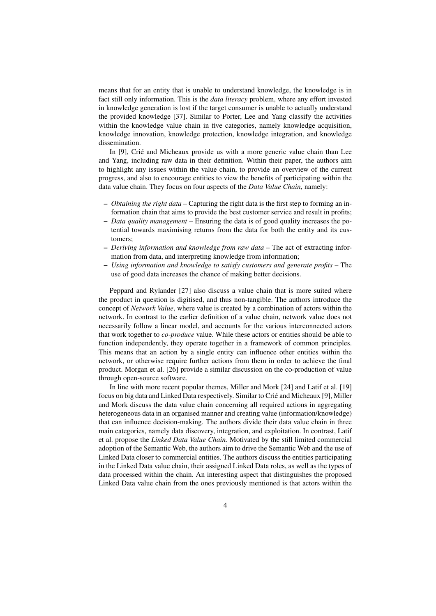means that for an entity that is unable to understand knowledge, the knowledge is in fact still only information. This is the *data literacy* problem, where any effort invested in knowledge generation is lost if the target consumer is unable to actually understand the provided knowledge [37]. Similar to Porter, Lee and Yang classify the activities within the knowledge value chain in five categories, namely knowledge acquisition, knowledge innovation, knowledge protection, knowledge integration, and knowledge dissemination.

In [9], Crié and Micheaux provide us with a more generic value chain than Lee and Yang, including raw data in their definition. Within their paper, the authors aim to highlight any issues within the value chain, to provide an overview of the current progress, and also to encourage entities to view the benefits of participating within the data value chain. They focus on four aspects of the *Data Value Chain*, namely:

- *Obtaining the right data* Capturing the right data is the first step to forming an information chain that aims to provide the best customer service and result in profits;
- *Data quality management* Ensuring the data is of good quality increases the potential towards maximising returns from the data for both the entity and its customers;
- *Deriving information and knowledge from raw data* The act of extracting information from data, and interpreting knowledge from information;
- *Using information and knowledge to satisfy customers and generate profits* The use of good data increases the chance of making better decisions.

Peppard and Rylander [27] also discuss a value chain that is more suited where the product in question is digitised, and thus non-tangible. The authors introduce the concept of *Network Value*, where value is created by a combination of actors within the network. In contrast to the earlier definition of a value chain, network value does not necessarily follow a linear model, and accounts for the various interconnected actors that work together to *co-produce* value. While these actors or entities should be able to function independently, they operate together in a framework of common principles. This means that an action by a single entity can influence other entities within the network, or otherwise require further actions from them in order to achieve the final product. Morgan et al. [26] provide a similar discussion on the co-production of value through open-source software.

In line with more recent popular themes, Miller and Mork [24] and Latif et al. [19] focus on big data and Linked Data respectively. Similar to Crié and Micheaux [9], Miller and Mork discuss the data value chain concerning all required actions in aggregating heterogeneous data in an organised manner and creating value (information/knowledge) that can influence decision-making. The authors divide their data value chain in three main categories, namely data discovery, integration, and exploitation. In contrast, Latif et al. propose the *Linked Data Value Chain*. Motivated by the still limited commercial adoption of the Semantic Web, the authors aim to drive the Semantic Web and the use of Linked Data closer to commercial entities. The authors discuss the entities participating in the Linked Data value chain, their assigned Linked Data roles, as well as the types of data processed within the chain. An interesting aspect that distinguishes the proposed Linked Data value chain from the ones previously mentioned is that actors within the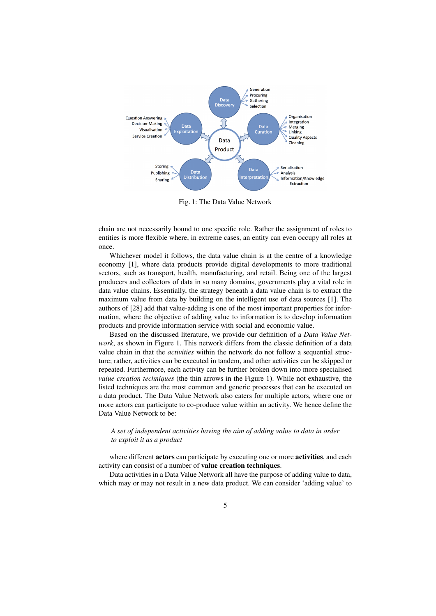

Fig. 1: The Data Value Network

chain are not necessarily bound to one specific role. Rather the assignment of roles to entities is more flexible where, in extreme cases, an entity can even occupy all roles at once.

Whichever model it follows, the data value chain is at the centre of a knowledge economy [1], where data products provide digital developments to more traditional sectors, such as transport, health, manufacturing, and retail. Being one of the largest producers and collectors of data in so many domains, governments play a vital role in data value chains. Essentially, the strategy beneath a data value chain is to extract the maximum value from data by building on the intelligent use of data sources [1]. The authors of [28] add that value-adding is one of the most important properties for information, where the objective of adding value to information is to develop information products and provide information service with social and economic value.

Based on the discussed literature, we provide our definition of a *Data Value Network*, as shown in Figure 1. This network differs from the classic definition of a data value chain in that the *activities* within the network do not follow a sequential structure; rather, activities can be executed in tandem, and other activities can be skipped or repeated. Furthermore, each activity can be further broken down into more specialised *value creation techniques* (the thin arrows in the Figure 1). While not exhaustive, the listed techniques are the most common and generic processes that can be executed on a data product. The Data Value Network also caters for multiple actors, where one or more actors can participate to co-produce value within an activity. We hence define the Data Value Network to be:

#### *A set of independent activities having the aim of adding value to data in order to exploit it as a product*

where different **actors** can participate by executing one or more **activities**, and each activity can consist of a number of value creation techniques.

Data activities in a Data Value Network all have the purpose of adding value to data, which may or may not result in a new data product. We can consider 'adding value' to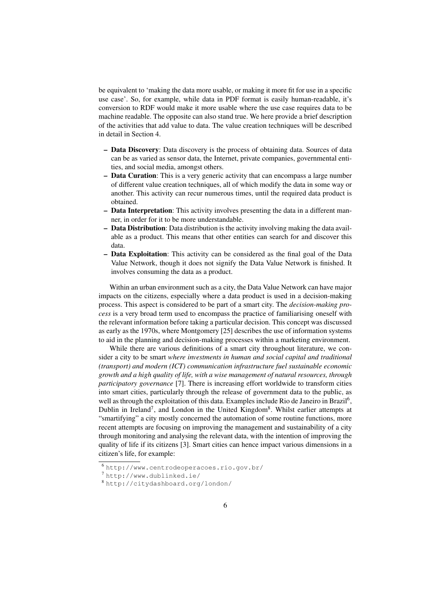be equivalent to 'making the data more usable, or making it more fit for use in a specific use case'. So, for example, while data in PDF format is easily human-readable, it's conversion to RDF would make it more usable where the use case requires data to be machine readable. The opposite can also stand true. We here provide a brief description of the activities that add value to data. The value creation techniques will be described in detail in Section 4.

- Data Discovery: Data discovery is the process of obtaining data. Sources of data can be as varied as sensor data, the Internet, private companies, governmental entities, and social media, amongst others.
- Data Curation: This is a very generic activity that can encompass a large number of different value creation techniques, all of which modify the data in some way or another. This activity can recur numerous times, until the required data product is obtained.
- Data Interpretation: This activity involves presenting the data in a different manner, in order for it to be more understandable.
- Data Distribution: Data distribution is the activity involving making the data available as a product. This means that other entities can search for and discover this data.
- Data Exploitation: This activity can be considered as the final goal of the Data Value Network, though it does not signify the Data Value Network is finished. It involves consuming the data as a product.

Within an urban environment such as a city, the Data Value Network can have major impacts on the citizens, especially where a data product is used in a decision-making process. This aspect is considered to be part of a smart city. The *decision-making process* is a very broad term used to encompass the practice of familiarising oneself with the relevant information before taking a particular decision. This concept was discussed as early as the 1970s, where Montgomery [25] describes the use of information systems to aid in the planning and decision-making processes within a marketing environment.

While there are various definitions of a smart city throughout literature, we consider a city to be smart *where investments in human and social capital and traditional (transport) and modern (ICT) communication infrastructure fuel sustainable economic growth and a high quality of life, with a wise management of natural resources, through participatory governance* [7]. There is increasing effort worldwide to transform cities into smart cities, particularly through the release of government data to the public, as well as through the exploitation of this data. Examples include Rio de Janeiro in Brazil<sup>6</sup>, Dublin in Ireland<sup>7</sup>, and London in the United Kingdom<sup>8</sup>. Whilst earlier attempts at "smartifying" a city mostly concerned the automation of some routine functions, more recent attempts are focusing on improving the management and sustainability of a city through monitoring and analysing the relevant data, with the intention of improving the quality of life if its citizens [3]. Smart cities can hence impact various dimensions in a citizen's life, for example:

<sup>6</sup> http://www.centrodeoperacoes.rio.gov.br/

<sup>7</sup> http://www.dublinked.ie/

<sup>8</sup> http://citydashboard.org/london/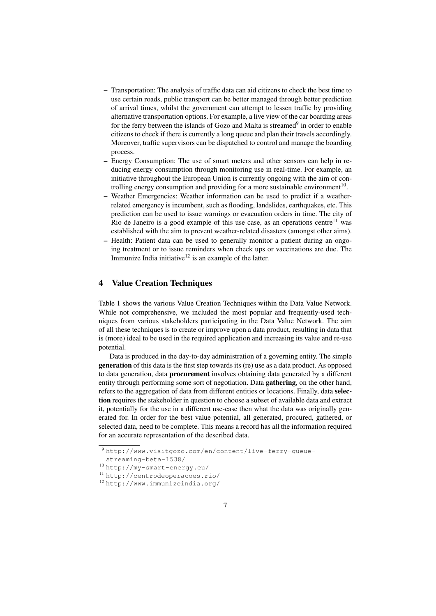- Transportation: The analysis of traffic data can aid citizens to check the best time to use certain roads, public transport can be better managed through better prediction of arrival times, whilst the government can attempt to lessen traffic by providing alternative transportation options. For example, a live view of the car boarding areas for the ferry between the islands of Gozo and Malta is streamed $9$  in order to enable citizens to check if there is currently a long queue and plan their travels accordingly. Moreover, traffic supervisors can be dispatched to control and manage the boarding process.
- Energy Consumption: The use of smart meters and other sensors can help in reducing energy consumption through monitoring use in real-time. For example, an initiative throughout the European Union is currently ongoing with the aim of controlling energy consumption and providing for a more sustainable environment<sup>10</sup>.
- Weather Emergencies: Weather information can be used to predict if a weatherrelated emergency is incumbent, such as flooding, landslides, earthquakes, etc. This prediction can be used to issue warnings or evacuation orders in time. The city of Rio de Janeiro is a good example of this use case, as an operations centre<sup>11</sup> was established with the aim to prevent weather-related disasters (amongst other aims).
- Health: Patient data can be used to generally monitor a patient during an ongoing treatment or to issue reminders when check ups or vaccinations are due. The Immunize India initiative $12$  is an example of the latter.

#### 4 Value Creation Techniques

Table 1 shows the various Value Creation Techniques within the Data Value Network. While not comprehensive, we included the most popular and frequently-used techniques from various stakeholders participating in the Data Value Network. The aim of all these techniques is to create or improve upon a data product, resulting in data that is (more) ideal to be used in the required application and increasing its value and re-use potential.

Data is produced in the day-to-day administration of a governing entity. The simple generation of this data is the first step towards its (re) use as a data product. As opposed to data generation, data procurement involves obtaining data generated by a different entity through performing some sort of negotiation. Data gathering, on the other hand, refers to the aggregation of data from different entities or locations. Finally, data selection requires the stakeholder in question to choose a subset of available data and extract it, potentially for the use in a different use-case then what the data was originally generated for. In order for the best value potential, all generated, procured, gathered, or selected data, need to be complete. This means a record has all the information required for an accurate representation of the described data.

<sup>9</sup> http://www.visitgozo.com/en/content/live-ferry-queue-

streaming-beta-1538/

<sup>10</sup> http://my-smart-energy.eu/

<sup>11</sup> http://centrodeoperacoes.rio/

<sup>12</sup> http://www.immunizeindia.org/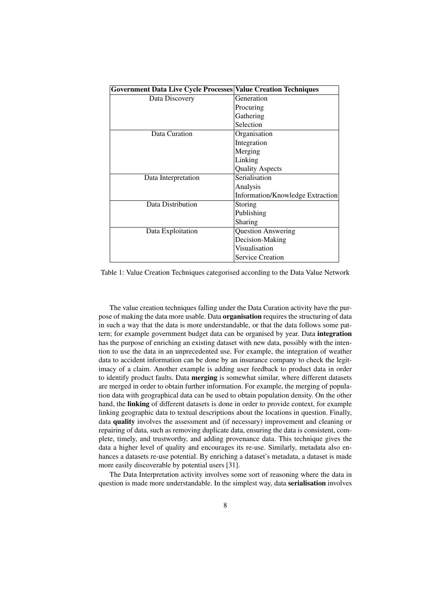| <b>Government Data Live Cycle Processes Value Creation Techniques</b> |
|-----------------------------------------------------------------------|
| Generation                                                            |
| Procuring                                                             |
| Gathering                                                             |
| Selection                                                             |
| Organisation                                                          |
| Integration                                                           |
| Merging                                                               |
| Linking                                                               |
| <b>Quality Aspects</b>                                                |
| Serialisation                                                         |
| Analysis                                                              |
| Information/Knowledge Extraction                                      |
| Storing                                                               |
| Publishing                                                            |
| Sharing                                                               |
| <b>Question Answering</b>                                             |
| Decision-Making                                                       |
| Visualisation                                                         |
| <b>Service Creation</b>                                               |
|                                                                       |

Table 1: Value Creation Techniques categorised according to the Data Value Network

The value creation techniques falling under the Data Curation activity have the purpose of making the data more usable. Data **organisation** requires the structuring of data in such a way that the data is more understandable, or that the data follows some pattern; for example government budget data can be organised by year. Data integration has the purpose of enriching an existing dataset with new data, possibly with the intention to use the data in an unprecedented use. For example, the integration of weather data to accident information can be done by an insurance company to check the legitimacy of a claim. Another example is adding user feedback to product data in order to identify product faults. Data **merging** is somewhat similar, where different datasets are merged in order to obtain further information. For example, the merging of population data with geographical data can be used to obtain population density. On the other hand, the linking of different datasets is done in order to provide context, for example linking geographic data to textual descriptions about the locations in question. Finally, data quality involves the assessment and (if necessary) improvement and cleaning or repairing of data, such as removing duplicate data, ensuring the data is consistent, complete, timely, and trustworthy, and adding provenance data. This technique gives the data a higher level of quality and encourages its re-use. Similarly, metadata also enhances a datasets re-use potential. By enriching a dataset's metadata, a dataset is made more easily discoverable by potential users [31].

The Data Interpretation activity involves some sort of reasoning where the data in question is made more understandable. In the simplest way, data serialisation involves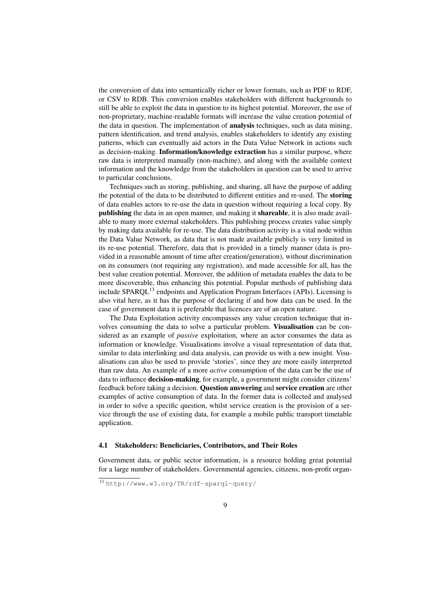the conversion of data into semantically richer or lower formats, such as PDF to RDF, or CSV to RDB. This conversion enables stakeholders with different backgrounds to still be able to exploit the data in question to its highest potential. Moreover, the use of non-proprietary, machine-readable formats will increase the value creation potential of the data in question. The implementation of **analysis** techniques, such as data mining, pattern identification, and trend analysis, enables stakeholders to identify any existing patterns, which can eventually aid actors in the Data Value Network in actions such as decision-making. **Information/knowledge extraction** has a similar purpose, where raw data is interpreted manually (non-machine), and along with the available context information and the knowledge from the stakeholders in question can be used to arrive to particular conclusions.

Techniques such as storing, publishing, and sharing, all have the purpose of adding the potential of the data to be distributed to different entities and re-used. The storing of data enables actors to re-use the data in question without requiring a local copy. By publishing the data in an open manner, and making it shareable, it is also made available to many more external stakeholders. This publishing process creates value simply by making data available for re-use. The data distribution activity is a vital node within the Data Value Network, as data that is not made available publicly is very limited in its re-use potential. Therefore, data that is provided in a timely manner (data is provided in a reasonable amount of time after creation/generation), without discrimination on its consumers (not requiring any registration), and made accessible for all, has the best value creation potential. Moreover, the addition of metadata enables the data to be more discoverable, thus enhancing this potential. Popular methods of publishing data include SPARQL<sup>13</sup> endpoints and Application Program Interfaces (APIs). Licensing is also vital here, as it has the purpose of declaring if and how data can be used. In the case of government data it is preferable that licences are of an open nature.

The Data Exploitation activity encompasses any value creation technique that involves consuming the data to solve a particular problem. Visualisation can be considered as an example of *passive* exploitation, where an actor consumes the data as information or knowledge. Visualisations involve a visual representation of data that, similar to data interlinking and data analysis, can provide us with a new insight. Visualisations can also be used to provide 'stories', since they are more easily interpreted than raw data. An example of a more *active* consumption of the data can be the use of data to influence decision-making, for example, a government might consider citizens' feedback before taking a decision. Question answering and service creation are other examples of active consumption of data. In the former data is collected and analysed in order to solve a specific question, whilst service creation is the provision of a service through the use of existing data, for example a mobile public transport timetable application.

#### 4.1 Stakeholders: Beneficiaries, Contributors, and Their Roles

Government data, or public sector information, is a resource holding great potential for a large number of stakeholders. Governmental agencies, citizens, non-profit organ-

<sup>13</sup> http://www.w3.org/TR/rdf-sparql-query/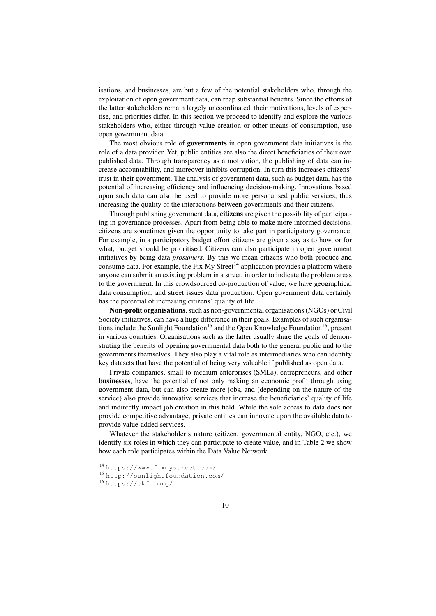isations, and businesses, are but a few of the potential stakeholders who, through the exploitation of open government data, can reap substantial benefits. Since the efforts of the latter stakeholders remain largely uncoordinated, their motivations, levels of expertise, and priorities differ. In this section we proceed to identify and explore the various stakeholders who, either through value creation or other means of consumption, use open government data.

The most obvious role of **governments** in open government data initiatives is the role of a data provider. Yet, public entities are also the direct beneficiaries of their own published data. Through transparency as a motivation, the publishing of data can increase accountability, and moreover inhibits corruption. In turn this increases citizens' trust in their government. The analysis of government data, such as budget data, has the potential of increasing efficiency and influencing decision-making. Innovations based upon such data can also be used to provide more personalised public services, thus increasing the quality of the interactions between governments and their citizens.

Through publishing government data, citizens are given the possibility of participating in governance processes. Apart from being able to make more informed decisions, citizens are sometimes given the opportunity to take part in participatory governance. For example, in a participatory budget effort citizens are given a say as to how, or for what, budget should be prioritised. Citizens can also participate in open government initiatives by being data *prosumers*. By this we mean citizens who both produce and consume data. For example, the Fix My Street<sup>14</sup> application provides a platform where anyone can submit an existing problem in a street, in order to indicate the problem areas to the government. In this crowdsourced co-production of value, we have geographical data consumption, and street issues data production. Open government data certainly has the potential of increasing citizens' quality of life.

Non-profit organisations, such as non-governmental organisations (NGOs) or Civil Society initiatives, can have a huge difference in their goals. Examples of such organisations include the Sunlight Foundation<sup>15</sup> and the Open Knowledge Foundation<sup>16</sup>, present in various countries. Organisations such as the latter usually share the goals of demonstrating the benefits of opening governmental data both to the general public and to the governments themselves. They also play a vital role as intermediaries who can identify key datasets that have the potential of being very valuable if published as open data.

Private companies, small to medium enterprises (SMEs), entrepreneurs, and other businesses, have the potential of not only making an economic profit through using government data, but can also create more jobs, and (depending on the nature of the service) also provide innovative services that increase the beneficiaries' quality of life and indirectly impact job creation in this field. While the sole access to data does not provide competitive advantage, private entities can innovate upon the available data to provide value-added services.

Whatever the stakeholder's nature (citizen, governmental entity, NGO, etc.), we identify six roles in which they can participate to create value, and in Table 2 we show how each role participates within the Data Value Network.

<sup>14</sup> https://www.fixmystreet.com/

<sup>15</sup> http://sunlightfoundation.com/

<sup>16</sup> https://okfn.org/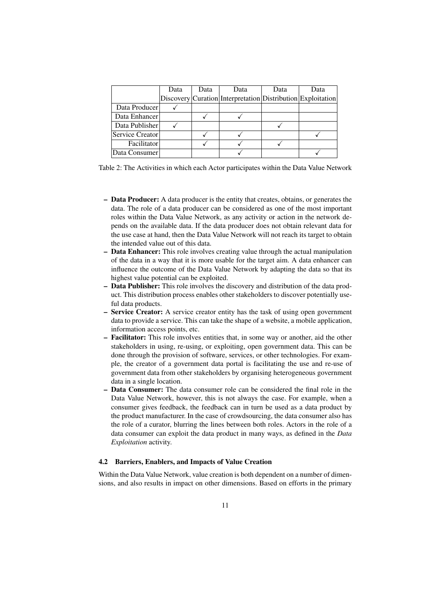|                 | Data | Data | Data                                                        | Data | Data |
|-----------------|------|------|-------------------------------------------------------------|------|------|
|                 |      |      | Discovery Curation Interpretation Distribution Exploitation |      |      |
| Data Producer   |      |      |                                                             |      |      |
| Data Enhancer   |      |      |                                                             |      |      |
| Data Publisher  |      |      |                                                             |      |      |
| Service Creator |      |      |                                                             |      |      |
| Facilitator     |      |      |                                                             |      |      |
| Data Consumer   |      |      |                                                             |      |      |

Table 2: The Activities in which each Actor participates within the Data Value Network

- Data Producer: A data producer is the entity that creates, obtains, or generates the data. The role of a data producer can be considered as one of the most important roles within the Data Value Network, as any activity or action in the network depends on the available data. If the data producer does not obtain relevant data for the use case at hand, then the Data Value Network will not reach its target to obtain the intended value out of this data.
- Data Enhancer: This role involves creating value through the actual manipulation of the data in a way that it is more usable for the target aim. A data enhancer can influence the outcome of the Data Value Network by adapting the data so that its highest value potential can be exploited.
- Data Publisher: This role involves the discovery and distribution of the data product. This distribution process enables other stakeholders to discover potentially useful data products.
- **Service Creator:** A service creator entity has the task of using open government data to provide a service. This can take the shape of a website, a mobile application, information access points, etc.
- Facilitator: This role involves entities that, in some way or another, aid the other stakeholders in using, re-using, or exploiting, open government data. This can be done through the provision of software, services, or other technologies. For example, the creator of a government data portal is facilitating the use and re-use of government data from other stakeholders by organising heterogeneous government data in a single location.
- Data Consumer: The data consumer role can be considered the final role in the Data Value Network, however, this is not always the case. For example, when a consumer gives feedback, the feedback can in turn be used as a data product by the product manufacturer. In the case of crowdsourcing, the data consumer also has the role of a curator, blurring the lines between both roles. Actors in the role of a data consumer can exploit the data product in many ways, as defined in the *Data Exploitation* activity.

#### 4.2 Barriers, Enablers, and Impacts of Value Creation

Within the Data Value Network, value creation is both dependent on a number of dimensions, and also results in impact on other dimensions. Based on efforts in the primary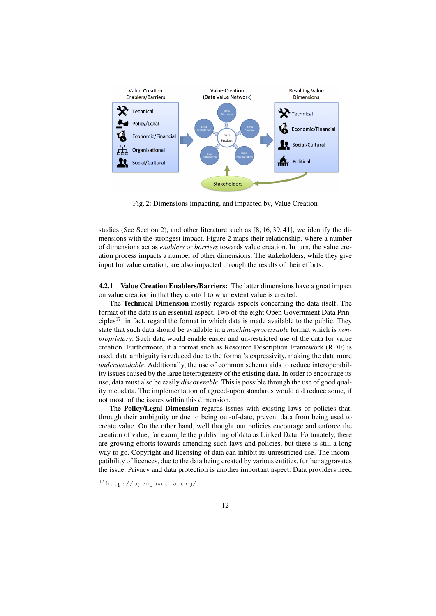

Fig. 2: Dimensions impacting, and impacted by, Value Creation

studies (See Section 2), and other literature such as [8, 16, 39, 41], we identify the dimensions with the strongest impact. Figure 2 maps their relationship, where a number of dimensions act as *enablers* or *barriers* towards value creation. In turn, the value creation process impacts a number of other dimensions. The stakeholders, while they give input for value creation, are also impacted through the results of their efforts.

4.2.1 Value Creation Enablers/Barriers: The latter dimensions have a great impact on value creation in that they control to what extent value is created.

The Technical Dimension mostly regards aspects concerning the data itself. The format of the data is an essential aspect. Two of the eight Open Government Data Principles<sup>17</sup>, in fact, regard the format in which data is made available to the public. They state that such data should be available in a *machine-processable* format which is *nonproprietary*. Such data would enable easier and un-restricted use of the data for value creation. Furthermore, if a format such as Resource Description Framework (RDF) is used, data ambiguity is reduced due to the format's expressivity, making the data more *understandable*. Additionally, the use of common schema aids to reduce interoperability issues caused by the large heterogeneity of the existing data. In order to encourage its use, data must also be easily *discoverable*. This is possible through the use of good quality metadata. The implementation of agreed-upon standards would aid reduce some, if not most, of the issues within this dimension.

The Policy/Legal Dimension regards issues with existing laws or policies that, through their ambiguity or due to being out-of-date, prevent data from being used to create value. On the other hand, well thought out policies encourage and enforce the creation of value, for example the publishing of data as Linked Data. Fortunately, there are growing efforts towards amending such laws and policies, but there is still a long way to go. Copyright and licensing of data can inhibit its unrestricted use. The incompatibility of licences, due to the data being created by various entities, further aggravates the issue. Privacy and data protection is another important aspect. Data providers need

<sup>17</sup> http://opengovdata.org/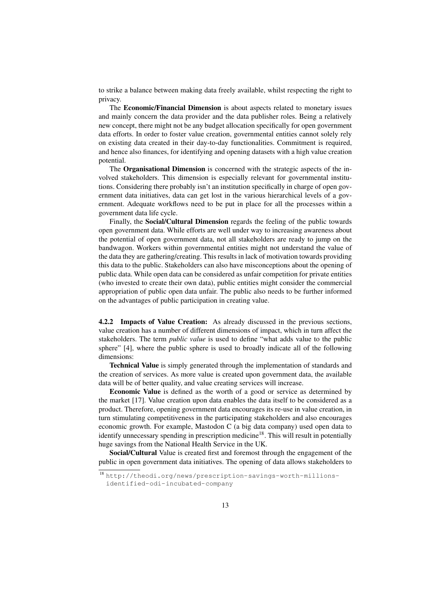to strike a balance between making data freely available, whilst respecting the right to privacy.

The Economic/Financial Dimension is about aspects related to monetary issues and mainly concern the data provider and the data publisher roles. Being a relatively new concept, there might not be any budget allocation specifically for open government data efforts. In order to foster value creation, governmental entities cannot solely rely on existing data created in their day-to-day functionalities. Commitment is required, and hence also finances, for identifying and opening datasets with a high value creation potential.

The Organisational Dimension is concerned with the strategic aspects of the involved stakeholders. This dimension is especially relevant for governmental institutions. Considering there probably isn't an institution specifically in charge of open government data initiatives, data can get lost in the various hierarchical levels of a government. Adequate workflows need to be put in place for all the processes within a government data life cycle.

Finally, the Social/Cultural Dimension regards the feeling of the public towards open government data. While efforts are well under way to increasing awareness about the potential of open government data, not all stakeholders are ready to jump on the bandwagon. Workers within governmental entities might not understand the value of the data they are gathering/creating. This results in lack of motivation towards providing this data to the public. Stakeholders can also have misconceptions about the opening of public data. While open data can be considered as unfair competition for private entities (who invested to create their own data), public entities might consider the commercial appropriation of public open data unfair. The public also needs to be further informed on the advantages of public participation in creating value.

4.2.2 Impacts of Value Creation: As already discussed in the previous sections, value creation has a number of different dimensions of impact, which in turn affect the stakeholders. The term *public value* is used to define "what adds value to the public sphere" [4], where the public sphere is used to broadly indicate all of the following dimensions:

Technical Value is simply generated through the implementation of standards and the creation of services. As more value is created upon government data, the available data will be of better quality, and value creating services will increase.

Economic Value is defined as the worth of a good or service as determined by the market [17]. Value creation upon data enables the data itself to be considered as a product. Therefore, opening government data encourages its re-use in value creation, in turn stimulating competitiveness in the participating stakeholders and also encourages economic growth. For example, Mastodon C (a big data company) used open data to identify unnecessary spending in prescription medicine<sup>18</sup>. This will result in potentially huge savings from the National Health Service in the UK.

Social/Cultural Value is created first and foremost through the engagement of the public in open government data initiatives. The opening of data allows stakeholders to

<sup>18</sup> http://theodi.org/news/prescription-savings-worth-millionsidentified-odi-incubated-company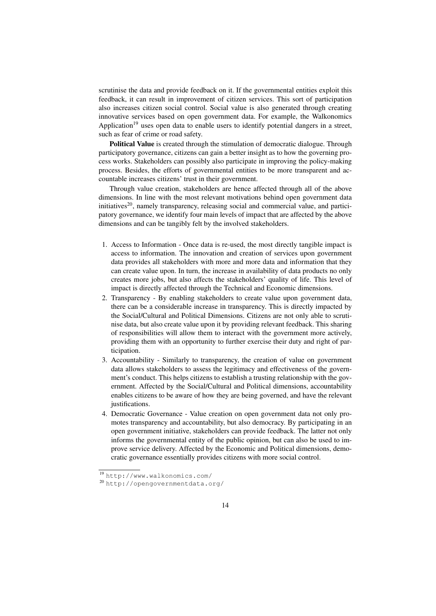scrutinise the data and provide feedback on it. If the governmental entities exploit this feedback, it can result in improvement of citizen services. This sort of participation also increases citizen social control. Social value is also generated through creating innovative services based on open government data. For example, the Walkonomics Application<sup>19</sup> uses open data to enable users to identify potential dangers in a street, such as fear of crime or road safety.

Political Value is created through the stimulation of democratic dialogue. Through participatory governance, citizens can gain a better insight as to how the governing process works. Stakeholders can possibly also participate in improving the policy-making process. Besides, the efforts of governmental entities to be more transparent and accountable increases citizens' trust in their government.

Through value creation, stakeholders are hence affected through all of the above dimensions. In line with the most relevant motivations behind open government data  $initialives<sup>20</sup>$ , namely transparency, releasing social and commercial value, and participatory governance, we identify four main levels of impact that are affected by the above dimensions and can be tangibly felt by the involved stakeholders.

- 1. Access to Information Once data is re-used, the most directly tangible impact is access to information. The innovation and creation of services upon government data provides all stakeholders with more and more data and information that they can create value upon. In turn, the increase in availability of data products no only creates more jobs, but also affects the stakeholders' quality of life. This level of impact is directly affected through the Technical and Economic dimensions.
- 2. Transparency By enabling stakeholders to create value upon government data, there can be a considerable increase in transparency. This is directly impacted by the Social/Cultural and Political Dimensions. Citizens are not only able to scrutinise data, but also create value upon it by providing relevant feedback. This sharing of responsibilities will allow them to interact with the government more actively, providing them with an opportunity to further exercise their duty and right of participation.
- 3. Accountability Similarly to transparency, the creation of value on government data allows stakeholders to assess the legitimacy and effectiveness of the government's conduct. This helps citizens to establish a trusting relationship with the government. Affected by the Social/Cultural and Political dimensions, accountability enables citizens to be aware of how they are being governed, and have the relevant justifications.
- 4. Democratic Governance Value creation on open government data not only promotes transparency and accountability, but also democracy. By participating in an open government initiative, stakeholders can provide feedback. The latter not only informs the governmental entity of the public opinion, but can also be used to improve service delivery. Affected by the Economic and Political dimensions, democratic governance essentially provides citizens with more social control.

<sup>19</sup> http://www.walkonomics.com/

<sup>20</sup> http://opengovernmentdata.org/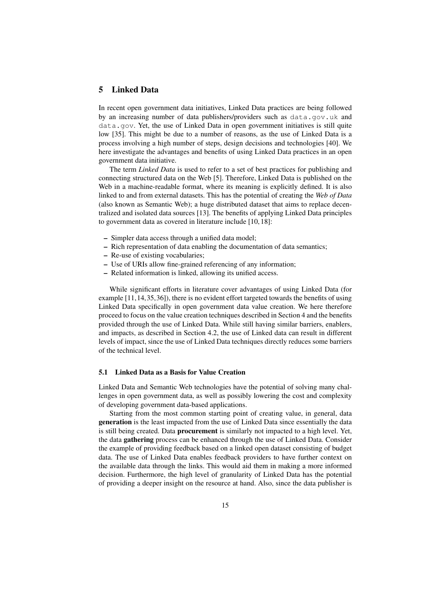### 5 Linked Data

In recent open government data initiatives, Linked Data practices are being followed by an increasing number of data publishers/providers such as data.gov.uk and  $data,qov$ . Yet, the use of Linked Data in open government initiatives is still quite low [35]. This might be due to a number of reasons, as the use of Linked Data is a process involving a high number of steps, design decisions and technologies [40]. We here investigate the advantages and benefits of using Linked Data practices in an open government data initiative.

The term *Linked Data* is used to refer to a set of best practices for publishing and connecting structured data on the Web [5]. Therefore, Linked Data is published on the Web in a machine-readable format, where its meaning is explicitly defined. It is also linked to and from external datasets. This has the potential of creating the *Web of Data* (also known as Semantic Web); a huge distributed dataset that aims to replace decentralized and isolated data sources [13]. The benefits of applying Linked Data principles to government data as covered in literature include [10, 18]:

- Simpler data access through a unified data model;
- Rich representation of data enabling the documentation of data semantics;
- Re-use of existing vocabularies;
- Use of URIs allow fine-grained referencing of any information;
- Related information is linked, allowing its unified access.

While significant efforts in literature cover advantages of using Linked Data (for example [11,14,35,36]), there is no evident effort targeted towards the benefits of using Linked Data specifically in open government data value creation. We here therefore proceed to focus on the value creation techniques described in Section 4 and the benefits provided through the use of Linked Data. While still having similar barriers, enablers, and impacts, as described in Section 4.2, the use of Linked data can result in different levels of impact, since the use of Linked Data techniques directly reduces some barriers of the technical level.

#### 5.1 Linked Data as a Basis for Value Creation

Linked Data and Semantic Web technologies have the potential of solving many challenges in open government data, as well as possibly lowering the cost and complexity of developing government data-based applications.

Starting from the most common starting point of creating value, in general, data generation is the least impacted from the use of Linked Data since essentially the data is still being created. Data **procurement** is similarly not impacted to a high level. Yet, the data gathering process can be enhanced through the use of Linked Data. Consider the example of providing feedback based on a linked open dataset consisting of budget data. The use of Linked Data enables feedback providers to have further context on the available data through the links. This would aid them in making a more informed decision. Furthermore, the high level of granularity of Linked Data has the potential of providing a deeper insight on the resource at hand. Also, since the data publisher is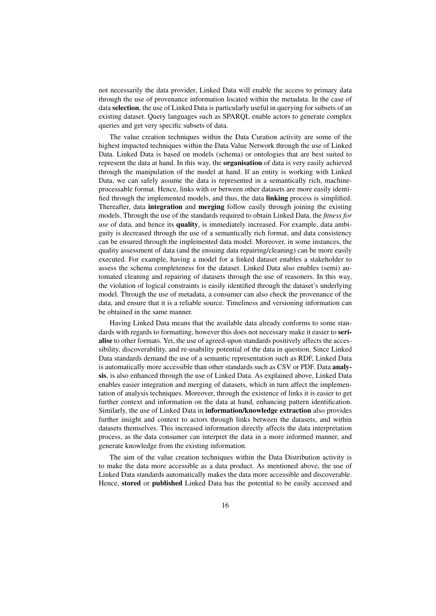not necessarily the data provider, Linked Data will enable the access to primary data through the use of provenance information located within the metadata. In the case of data selection, the use of Linked Data is particularly useful in querying for subsets of an existing dataset. Query languages such as SPARQL enable actors to generate complex queries and get very specific subsets of data.

The value creation techniques within the Data Curation activity are some of the highest impacted techniques within the Data Value Network through the use of Linked Data. Linked Data is based on models (schema) or ontologies that are best suited to represent the data at hand. In this way, the organisation of data is very easily achieved through the manipulation of the model at hand. If an entity is working with Linked Data, we can safely assume the data is represented in a semantically rich, machineprocessable format. Hence, links with or between other datasets are more easily identified through the implemented models, and thus, the data linking process is simplified. Thereafter, data **integration** and **merging** follow easily through joining the existing models. Through the use of the standards required to obtain Linked Data, the *fitness for use* of data, and hence its quality, is immediately increased. For example, data ambiguity is decreased through the use of a semantically rich format, and data consistency can be ensured through the implemented data model. Moreover, in some instances, the quality assessment of data (and the ensuing data repairing/cleaning) can be more easily executed. For example, having a model for a linked dataset enables a stakeholder to assess the schema completeness for the dataset. Linked Data also enables (semi) automated cleaning and repairing of datasets through the use of reasoners. In this way, the violation of logical constraints is easily identified through the dataset's underlying model. Through the use of metadata, a consumer can also check the provenance of the data, and ensure that it is a reliable source. Timeliness and versioning information can be obtained in the same manner.

Having Linked Data means that the available data already conforms to some standards with regards to formatting, however this does not necessary make it easier to serialise to other formats. Yet, the use of agreed-upon standards positively affects the accessibility, discoverability, and re-usability potential of the data in question. Since Linked Data standards demand the use of a semantic representation such as RDF, Linked Data is automatically more accessible than other standards such as CSV or PDF. Data **analy**sis, is also enhanced through the use of Linked Data. As explained above, Linked Data enables easier integration and merging of datasets, which in turn affect the implementation of analysis techniques. Moreover, through the existence of links it is easier to get further context and information on the data at hand, enhancing pattern identification. Similarly, the use of Linked Data in information/knowledge extraction also provides further insight and context to actors through links between the datasets, and within datasets themselves. This increased information directly affects the data interpretation process, as the data consumer can interpret the data in a more informed manner, and generate knowledge from the existing information.

The aim of the value creation techniques within the Data Distribution activity is to make the data more accessible as a data product. As mentioned above, the use of Linked Data standards automatically makes the data more accessible and discoverable. Hence, stored or published Linked Data has the potential to be easily accessed and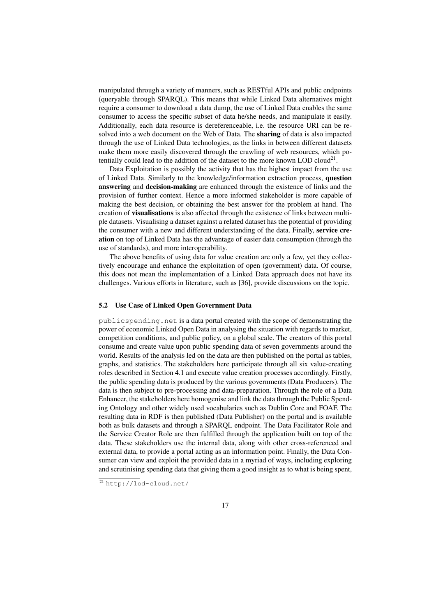manipulated through a variety of manners, such as RESTful APIs and public endpoints (queryable through SPARQL). This means that while Linked Data alternatives might require a consumer to download a data dump, the use of Linked Data enables the same consumer to access the specific subset of data he/she needs, and manipulate it easily. Additionally, each data resource is dereferenceable, i.e. the resource URI can be resolved into a web document on the Web of Data. The **sharing** of data is also impacted through the use of Linked Data technologies, as the links in between different datasets make them more easily discovered through the crawling of web resources, which potentially could lead to the addition of the dataset to the more known LOD cloud<sup>21</sup>.

Data Exploitation is possibly the activity that has the highest impact from the use of Linked Data. Similarly to the knowledge/information extraction process, question answering and decision-making are enhanced through the existence of links and the provision of further context. Hence a more informed stakeholder is more capable of making the best decision, or obtaining the best answer for the problem at hand. The creation of visualisations is also affected through the existence of links between multiple datasets. Visualising a dataset against a related dataset has the potential of providing the consumer with a new and different understanding of the data. Finally, service creation on top of Linked Data has the advantage of easier data consumption (through the use of standards), and more interoperability.

The above benefits of using data for value creation are only a few, yet they collectively encourage and enhance the exploitation of open (government) data. Of course, this does not mean the implementation of a Linked Data approach does not have its challenges. Various efforts in literature, such as [36], provide discussions on the topic.

#### 5.2 Use Case of Linked Open Government Data

publicspending.net is a data portal created with the scope of demonstrating the power of economic Linked Open Data in analysing the situation with regards to market, competition conditions, and public policy, on a global scale. The creators of this portal consume and create value upon public spending data of seven governments around the world. Results of the analysis led on the data are then published on the portal as tables, graphs, and statistics. The stakeholders here participate through all six value-creating roles described in Section 4.1 and execute value creation processes accordingly. Firstly, the public spending data is produced by the various governments (Data Producers). The data is then subject to pre-processing and data-preparation. Through the role of a Data Enhancer, the stakeholders here homogenise and link the data through the Public Spending Ontology and other widely used vocabularies such as Dublin Core and FOAF. The resulting data in RDF is then published (Data Publisher) on the portal and is available both as bulk datasets and through a SPARQL endpoint. The Data Facilitator Role and the Service Creator Role are then fulfilled through the application built on top of the data. These stakeholders use the internal data, along with other cross-referenced and external data, to provide a portal acting as an information point. Finally, the Data Consumer can view and exploit the provided data in a myriad of ways, including exploring and scrutinising spending data that giving them a good insight as to what is being spent,

<sup>21</sup> http://lod-cloud.net/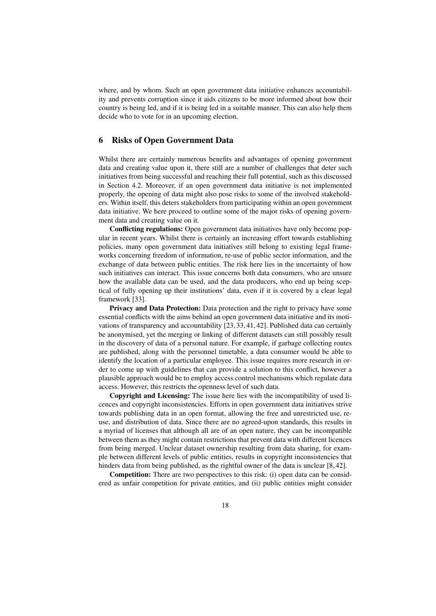where, and by whom. Such an open government data initiative enhances accountability and prevents corruption since it aids citizens to be more informed about how their country is being led, and if it is being led in a suitable manner. This can also help them decide who to vote for in an upcoming election.

# 6 Risks of Open Government Data

Whilst there are certainly numerous benefits and advantages of opening government data and creating value upon it, there still are a number of challenges that deter such initiatives from being successful and reaching their full potential, such as this discussed in Section 4.2. Moreover, if an open government data initiative is not implemented properly, the opening of data might also pose risks to some of the involved stakeholders. Within itself, this deters stakeholders from participating within an open government data initiative. We here proceed to outline some of the major risks of opening government data and creating value on it.

Conflicting regulations: Open government data initiatives have only become popular in recent years. Whilst there is certainly an increasing effort towards establishing policies, many open government data initiatives still belong to existing legal frameworks concerning freedom of information, re-use of public sector information, and the exchange of data between public entities. The risk here lies in the uncertainty of how such initiatives can interact. This issue concerns both data consumers, who are unsure how the available data can be used, and the data producers, who end up being sceptical of fully opening up their institutions' data, even if it is covered by a clear legal framework [33].

Privacy and Data Protection: Data protection and the right to privacy have some essential conflicts with the aims behind an open government data initiative and its motivations of transparency and accountability [23, 33, 41, 42]. Published data can certainly be anonymised, yet the merging or linking of different datasets can still possibly result in the discovery of data of a personal nature. For example, if garbage collecting routes are published, along with the personnel timetable, a data consumer would be able to identify the location of a particular employee. This issue requires more research in order to come up with guidelines that can provide a solution to this conflict, however a plausible approach would be to employ access control mechanisms which regulate data access. However, this restricts the openness level of such data.

Copyright and Licensing: The issue here lies with the incompatibility of used licences and copyright inconsistencies. Efforts in open government data initiatives strive towards publishing data in an open format, allowing the free and unrestricted use, reuse, and distribution of data. Since there are no agreed-upon standards, this results in a myriad of licenses that although all are of an open nature, they can be incompatible between them as they might contain restrictions that prevent data with different licences from being merged. Unclear dataset ownership resulting from data sharing, for example between different levels of public entities, results in copyright inconsistencies that hinders data from being published, as the rightful owner of the data is unclear [8,42].

Competition: There are two perspectives to this risk: (i) open data can be considered as unfair competition for private entities, and (ii) public entities might consider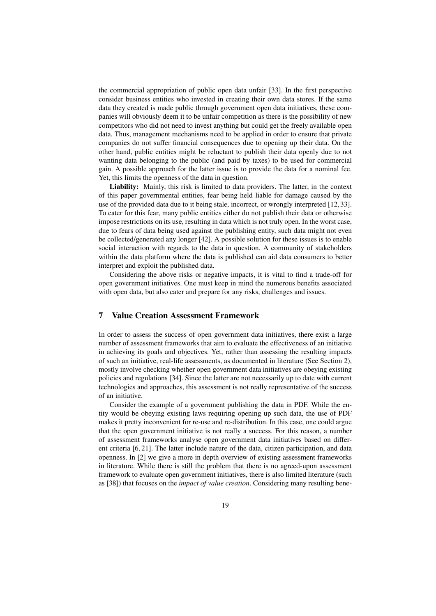the commercial appropriation of public open data unfair [33]. In the first perspective consider business entities who invested in creating their own data stores. If the same data they created is made public through government open data initiatives, these companies will obviously deem it to be unfair competition as there is the possibility of new competitors who did not need to invest anything but could get the freely available open data. Thus, management mechanisms need to be applied in order to ensure that private companies do not suffer financial consequences due to opening up their data. On the other hand, public entities might be reluctant to publish their data openly due to not wanting data belonging to the public (and paid by taxes) to be used for commercial gain. A possible approach for the latter issue is to provide the data for a nominal fee. Yet, this limits the openness of the data in question.

Liability: Mainly, this risk is limited to data providers. The latter, in the context of this paper governmental entities, fear being held liable for damage caused by the use of the provided data due to it being stale, incorrect, or wrongly interpreted [12, 33]. To cater for this fear, many public entities either do not publish their data or otherwise impose restrictions on its use, resulting in data which is not truly open. In the worst case, due to fears of data being used against the publishing entity, such data might not even be collected/generated any longer [42]. A possible solution for these issues is to enable social interaction with regards to the data in question. A community of stakeholders within the data platform where the data is published can aid data consumers to better interpret and exploit the published data.

Considering the above risks or negative impacts, it is vital to find a trade-off for open government initiatives. One must keep in mind the numerous benefits associated with open data, but also cater and prepare for any risks, challenges and issues.

#### 7 Value Creation Assessment Framework

In order to assess the success of open government data initiatives, there exist a large number of assessment frameworks that aim to evaluate the effectiveness of an initiative in achieving its goals and objectives. Yet, rather than assessing the resulting impacts of such an initiative, real-life assessments, as documented in literature (See Section 2), mostly involve checking whether open government data initiatives are obeying existing policies and regulations [34]. Since the latter are not necessarily up to date with current technologies and approaches, this assessment is not really representative of the success of an initiative.

Consider the example of a government publishing the data in PDF. While the entity would be obeying existing laws requiring opening up such data, the use of PDF makes it pretty inconvenient for re-use and re-distribution. In this case, one could argue that the open government initiative is not really a success. For this reason, a number of assessment frameworks analyse open government data initiatives based on different criteria [6, 21]. The latter include nature of the data, citizen participation, and data openness. In [2] we give a more in depth overview of existing assessment frameworks in literature. While there is still the problem that there is no agreed-upon assessment framework to evaluate open government initiatives, there is also limited literature (such as [38]) that focuses on the *impact of value creation*. Considering many resulting bene-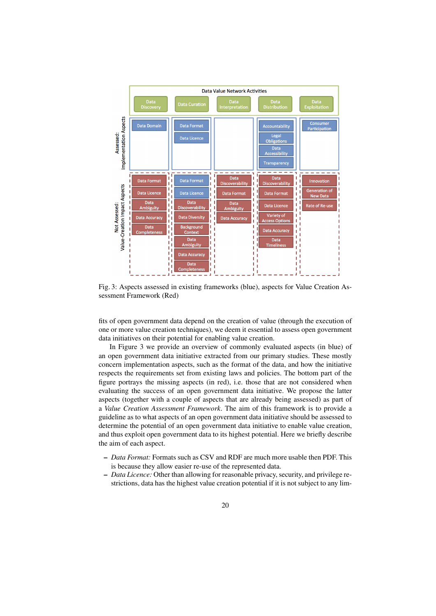

Fig. 3: Aspects assessed in existing frameworks (blue), aspects for Value Creation Assessment Framework (Red)

fits of open government data depend on the creation of value (through the execution of one or more value creation techniques), we deem it essential to assess open government data initiatives on their potential for enabling value creation.

In Figure 3 we provide an overview of commonly evaluated aspects (in blue) of an open government data initiative extracted from our primary studies. These mostly concern implementation aspects, such as the format of the data, and how the initiative respects the requirements set from existing laws and policies. The bottom part of the figure portrays the missing aspects (in red), i.e. those that are not considered when evaluating the success of an open government data initiative. We propose the latter aspects (together with a couple of aspects that are already being assessed) as part of a *Value Creation Assessment Framework*. The aim of this framework is to provide a guideline as to what aspects of an open government data initiative should be assessed to determine the potential of an open government data initiative to enable value creation, and thus exploit open government data to its highest potential. Here we briefly describe the aim of each aspect.

- *Data Format:* Formats such as CSV and RDF are much more usable then PDF. This is because they allow easier re-use of the represented data.
- *Data Licence:* Other than allowing for reasonable privacy, security, and privilege restrictions, data has the highest value creation potential if it is not subject to any lim-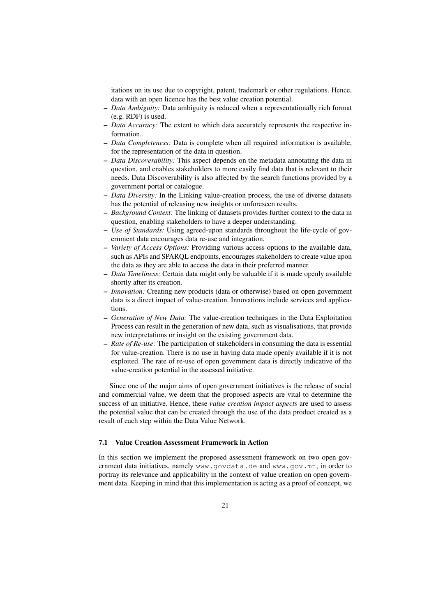itations on its use due to copyright, patent, trademark or other regulations. Hence, data with an open licence has the best value creation potential.

- *Data Ambiguity:* Data ambiguity is reduced when a representationally rich format (e.g. RDF) is used.
- *Data Accuracy:* The extent to which data accurately represents the respective information.
- *Data Completeness:* Data is complete when all required information is available, for the representation of the data in question.
- *Data Discoverability:* This aspect depends on the metadata annotating the data in question, and enables stakeholders to more easily find data that is relevant to their needs. Data Discoverability is also affected by the search functions provided by a government portal or catalogue.
- *Data Diversity:* In the Linking value-creation process, the use of diverse datasets has the potential of releasing new insights or unforeseen results.
- *Background Context:* The linking of datasets provides further context to the data in question, enabling stakeholders to have a deeper understanding.
- *Use of Standards:* Using agreed-upon standards throughout the life-cycle of government data encourages data re-use and integration.
- *Variety of Access Options:* Providing various access options to the available data, such as APIs and SPARQL endpoints, encourages stakeholders to create value upon the data as they are able to access the data in their preferred manner.
- *Data Timeliness:* Certain data might only be valuable if it is made openly available shortly after its creation.
- *Innovation:* Creating new products (data or otherwise) based on open government data is a direct impact of value-creation. Innovations include services and applications.
- *Generation of New Data:* The value-creation techniques in the Data Exploitation Process can result in the generation of new data, such as visualisations, that provide new interpretations or insight on the existing government data.
- *Rate of Re-use:* The participation of stakeholders in consuming the data is essential for value-creation. There is no use in having data made openly available if it is not exploited. The rate of re-use of open government data is directly indicative of the value-creation potential in the assessed initiative.

Since one of the major aims of open government initiatives is the release of social and commercial value, we deem that the proposed aspects are vital to determine the success of an initiative. Hence, these *value creation impact aspects* are used to assess the potential value that can be created through the use of the data product created as a result of each step within the Data Value Network.

#### 7.1 Value Creation Assessment Framework in Action

In this section we implement the proposed assessment framework on two open government data initiatives, namely www.govdata.de and www.gov.mt, in order to portray its relevance and applicability in the context of value creation on open government data. Keeping in mind that this implementation is acting as a proof of concept, we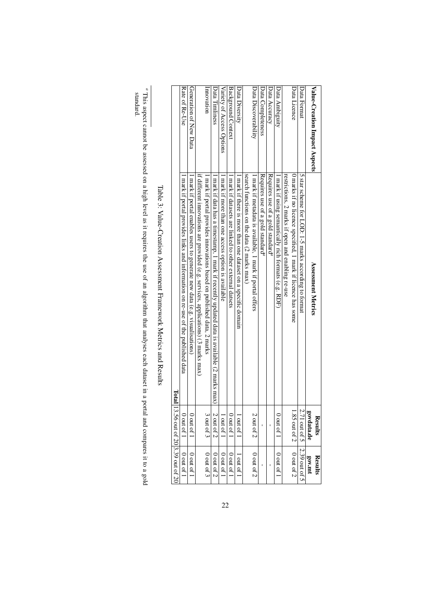| .56 out of 20 $ 3.39$ out of 20 |                                    | Total 13                                                                                           |                               |
|---------------------------------|------------------------------------|----------------------------------------------------------------------------------------------------|-------------------------------|
| 0 out of 1                      | 0 out of 1                         | i mark it, portal proximes limits and information on re-tise of the proplicity of the data.        | Rate of Re-Use                |
| 0 out of 1                      | 0 out of 1                         | $\mathsf{l}$ mark if portal enables users to generate new data (e.g. visualisations)               | Generation of New Data        |
|                                 |                                    | if different innovations are provided (e.g. services, applications) $(3 \text{ marks max})$        |                               |
| $0$ out of 3                    | 3 out of 3                         | mark if portal provides innovations based on published data, 2 marks                               | Imovation                     |
| $0$ out of 2                    | $2$ out of $2$                     | mark if data has a timestamp, I mark if recently updated data is available $(2 \text{ mark})$ max. | Data Timliness                |
| 0 out of 1                      | 1 out of 1                         | mark if more than one access option is available                                                   | Variety of Access Options     |
| 0 out of 1                      | 0 out of 1                         | mark if datasets are linked to other external datsets                                              | Background Context            |
| l out of 1                      | l out of 1                         | mark if there is more than one dataset on a specific domain                                        | Data Diversity                |
|                                 |                                    | search functions on the data (2 marks max)                                                         |                               |
| 0 out of 2                      | $2$ out of $2$                     | mark if metadata is available, 1 mark if portal offers                                             | Data Discoverability          |
|                                 |                                    | Requires use of a gold standard <sup>a</sup>                                                       | Data Completeness             |
|                                 |                                    | Requires use of a gold standard <sup><i>a</i></sup>                                                | Data Accuracy                 |
| 0 out of 1                      | 0 out of 1                         | mark if using semantically rich formats (e.g. RDF)                                                 | Data Ambiguity                |
|                                 |                                    | restrictions, 2 marks if open and enabling re-use                                                  |                               |
| $0$ out of 2                    | .85 out of 2                       | U marks if no licence specified, I mark if licence has some                                        | Data Licence                  |
|                                 | 2.71 out of 5 $\mid$ 2.39 out of 5 | Contrasts of COD: 1-2 marks according to format                                                    | Data Format                   |
| gov.mt                          | 30vdata.de                         |                                                                                                    | Value-Creation Impact Aspects |
| <b>Results</b>                  | <b>Results</b>                     | <b>Assessment Metrics</b>                                                                          |                               |

Table 3: Value-Creation Assessment Framework Metrics and Results Table 3: Value-Creation Assessment Framework Metrics and Results

<sup>*a*</sup> This aspect cannot be assessed on a high level as it requires the use of an algorithm that analyses each dataset in a portal and compares it to a gold standard. standard. This aspect cannot be assessed on a high level as it requires the use of an algorithm that analyses each dataset in a portal and compares it to a gold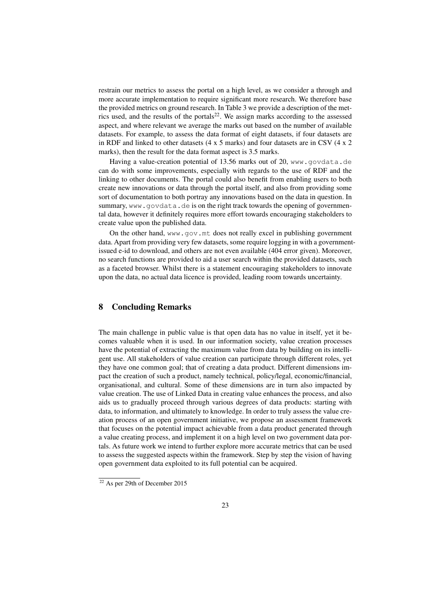restrain our metrics to assess the portal on a high level, as we consider a through and more accurate implementation to require significant more research. We therefore base the provided metrics on ground research. In Table 3 we provide a description of the metrics used, and the results of the portals $^{22}$ . We assign marks according to the assessed aspect, and where relevant we average the marks out based on the number of available datasets. For example, to assess the data format of eight datasets, if four datasets are in RDF and linked to other datasets  $(4 \times 5 \text{ marks})$  and four datasets are in CSV  $(4 \times 2 \text{ k})$ marks), then the result for the data format aspect is 3.5 marks.

Having a value-creation potential of 13.56 marks out of 20, www.govdata.de can do with some improvements, especially with regards to the use of RDF and the linking to other documents. The portal could also benefit from enabling users to both create new innovations or data through the portal itself, and also from providing some sort of documentation to both portray any innovations based on the data in question. In summary,  $ww$ , govdata.de is on the right track towards the opening of governmental data, however it definitely requires more effort towards encouraging stakeholders to create value upon the published data.

On the other hand,  $www.gov.mt does not really excel in publishing government$ data. Apart from providing very few datasets, some require logging in with a governmentissued e-id to download, and others are not even available (404 error given). Moreover, no search functions are provided to aid a user search within the provided datasets, such as a faceted browser. Whilst there is a statement encouraging stakeholders to innovate upon the data, no actual data licence is provided, leading room towards uncertainty.

## 8 Concluding Remarks

The main challenge in public value is that open data has no value in itself, yet it becomes valuable when it is used. In our information society, value creation processes have the potential of extracting the maximum value from data by building on its intelligent use. All stakeholders of value creation can participate through different roles, yet they have one common goal; that of creating a data product. Different dimensions impact the creation of such a product, namely technical, policy/legal, economic/financial, organisational, and cultural. Some of these dimensions are in turn also impacted by value creation. The use of Linked Data in creating value enhances the process, and also aids us to gradually proceed through various degrees of data products: starting with data, to information, and ultimately to knowledge. In order to truly assess the value creation process of an open government initiative, we propose an assessment framework that focuses on the potential impact achievable from a data product generated through a value creating process, and implement it on a high level on two government data portals. As future work we intend to further explore more accurate metrics that can be used to assess the suggested aspects within the framework. Step by step the vision of having open government data exploited to its full potential can be acquired.

<sup>22</sup> As per 29th of December 2015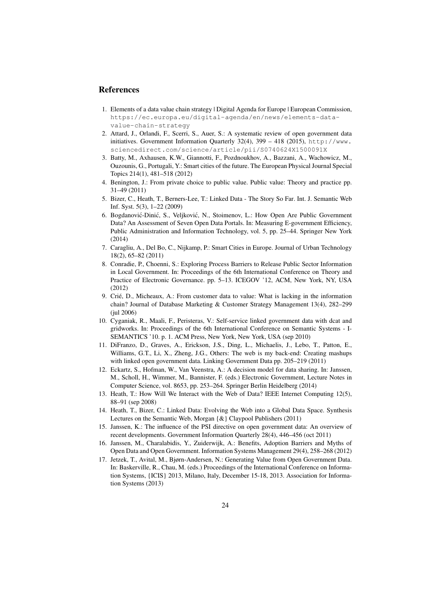### References

- 1. Elements of a data value chain strategy | Digital Agenda for Europe | European Commission, https://ec.europa.eu/digital-agenda/en/news/elements-datavalue-chain-strategy
- 2. Attard, J., Orlandi, F., Scerri, S., Auer, S.: A systematic review of open government data initiatives. Government Information Quarterly  $32(4)$ ,  $399 - 418$  (2015), http://www. sciencedirect.com/science/article/pii/S0740624X1500091X
- 3. Batty, M., Axhausen, K.W., Giannotti, F., Pozdnoukhov, A., Bazzani, A., Wachowicz, M., Ouzounis, G., Portugali, Y.: Smart cities of the future. The European Physical Journal Special Topics 214(1), 481–518 (2012)
- 4. Benington, J.: From private choice to public value. Public value: Theory and practice pp. 31–49 (2011)
- 5. Bizer, C., Heath, T., Berners-Lee, T.: Linked Data The Story So Far. Int. J. Semantic Web Inf. Syst. 5(3), 1–22 (2009)
- 6. Bogdanović-Dinić, S., Veljković, N., Stoimenov, L.: How Open Are Public Government Data? An Assessment of Seven Open Data Portals. In: Measuring E-government Efficiency, Public Administration and Information Technology, vol. 5, pp. 25–44. Springer New York (2014)
- 7. Caragliu, A., Del Bo, C., Nijkamp, P.: Smart Cities in Europe. Journal of Urban Technology 18(2), 65–82 (2011)
- 8. Conradie, P., Choenni, S.: Exploring Process Barriers to Release Public Sector Information in Local Government. In: Proceedings of the 6th International Conference on Theory and Practice of Electronic Governance. pp. 5–13. ICEGOV '12, ACM, New York, NY, USA (2012)
- 9. Crié, D., Micheaux, A.: From customer data to value: What is lacking in the information chain? Journal of Database Marketing & Customer Strategy Management 13(4), 282–299 (jul 2006)
- 10. Cyganiak, R., Maali, F., Peristeras, V.: Self-service linked government data with dcat and gridworks. In: Proceedings of the 6th International Conference on Semantic Systems - I-SEMANTICS '10. p. 1. ACM Press, New York, New York, USA (sep 2010)
- 11. DiFranzo, D., Graves, A., Erickson, J.S., Ding, L., Michaelis, J., Lebo, T., Patton, E., Williams, G.T., Li, X., Zheng, J.G., Others: The web is my back-end: Creating mashups with linked open government data. Linking Government Data pp. 205–219 (2011)
- 12. Eckartz, S., Hofman, W., Van Veenstra, A.: A decision model for data sharing. In: Janssen, M., Scholl, H., Wimmer, M., Bannister, F. (eds.) Electronic Government, Lecture Notes in Computer Science, vol. 8653, pp. 253–264. Springer Berlin Heidelberg (2014)
- 13. Heath, T.: How Will We Interact with the Web of Data? IEEE Internet Computing 12(5), 88–91 (sep 2008)
- 14. Heath, T., Bizer, C.: Linked Data: Evolving the Web into a Global Data Space. Synthesis Lectures on the Semantic Web, Morgan {&} Claypool Publishers (2011)
- 15. Janssen, K.: The influence of the PSI directive on open government data: An overview of recent developments. Government Information Quarterly 28(4), 446–456 (oct 2011)
- 16. Janssen, M., Charalabidis, Y., Zuiderwijk, A.: Benefits, Adoption Barriers and Myths of Open Data and Open Government. Information Systems Management 29(4), 258–268 (2012)
- 17. Jetzek, T., Avital, M., Bjørn-Andersen, N.: Generating Value from Open Government Data. In: Baskerville, R., Chau, M. (eds.) Proceedings of the International Conference on Information Systems, {ICIS} 2013, Milano, Italy, December 15-18, 2013. Association for Information Systems (2013)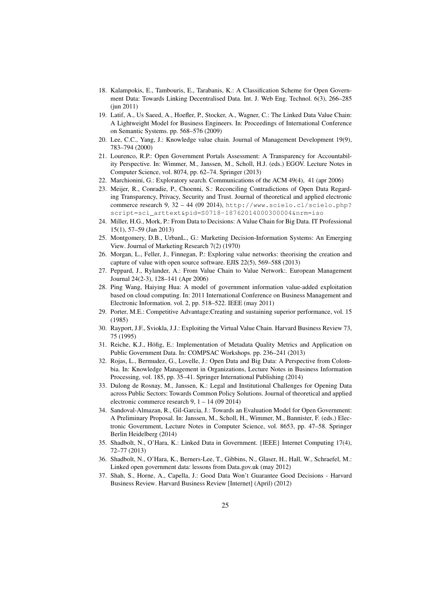- 18. Kalampokis, E., Tambouris, E., Tarabanis, K.: A Classification Scheme for Open Government Data: Towards Linking Decentralised Data. Int. J. Web Eng. Technol. 6(3), 266–285  $(i$ un 2011)
- 19. Latif, A., Us Saeed, A., Hoefler, P., Stocker, A., Wagner, C.: The Linked Data Value Chain: A Lightweight Model for Business Engineers. In: Proceedings of International Conference on Semantic Systems. pp. 568–576 (2009)
- 20. Lee, C.C., Yang, J.: Knowledge value chain. Journal of Management Development 19(9), 783–794 (2000)
- 21. Lourenco, R.P.: Open Government Portals Assessment: A Transparency for Accountability Perspective. In: Wimmer, M., Janssen, M., Scholl, H.J. (eds.) EGOV. Lecture Notes in Computer Science, vol. 8074, pp. 62–74. Springer (2013)
- 22. Marchionini, G.: Exploratory search. Communications of the ACM 49(4), 41 (apr 2006)
- 23. Meijer, R., Conradie, P., Choenni, S.: Reconciling Contradictions of Open Data Regarding Transparency, Privacy, Security and Trust. Journal of theoretical and applied electronic commerce research 9,  $32 - 44$  (09 2014), http://www.scielo.cl/scielo.php? script=sci\_arttext&pid=S0718-18762014000300004&nrm=iso
- 24. Miller, H.G., Mork, P.: From Data to Decisions: A Value Chain for Big Data. IT Professional 15(1), 57–59 (Jan 2013)
- 25. Montgomery, D.B., UrbanL., G.: Marketing Decision-Information Systems: An Emerging View. Journal of Marketing Research 7(2) (1970)
- 26. Morgan, L., Feller, J., Finnegan, P.: Exploring value networks: theorising the creation and capture of value with open source software. EJIS 22(5), 569–588 (2013)
- 27. Peppard, J., Rylander, A.: From Value Chain to Value Network:. European Management Journal 24(2-3), 128–141 (Apr 2006)
- 28. Ping Wang, Haiying Hua: A model of government information value-added exploitation based on cloud computing. In: 2011 International Conference on Business Management and Electronic Information. vol. 2, pp. 518–522. IEEE (may 2011)
- 29. Porter, M.E.: Competitive Advantage:Creating and sustaining superior performance, vol. 15 (1985)
- 30. Rayport, J.F., Sviokla, J.J.: Exploiting the Virtual Value Chain. Harvard Business Review 73, 75 (1995)
- 31. Reiche, K.J., Höfig, E.: Implementation of Metadata Quality Metrics and Application on Public Government Data. In: COMPSAC Workshops. pp. 236–241 (2013)
- 32. Rojas, L., Bermudez, G., Lovelle, J.: Open Data and Big Data: A Perspective from Colombia. In: Knowledge Management in Organizations, Lecture Notes in Business Information Processing, vol. 185, pp. 35–41. Springer International Publishing (2014)
- 33. Dulong de Rosnay, M., Janssen, K.: Legal and Institutional Challenges for Opening Data across Public Sectors: Towards Common Policy Solutions. Journal of theoretical and applied electronic commerce research 9, 1 – 14 (09 2014)
- 34. Sandoval-Almazan, R., Gil-Garcia, J.: Towards an Evaluation Model for Open Government: A Preliminary Proposal. In: Janssen, M., Scholl, H., Wimmer, M., Bannister, F. (eds.) Electronic Government, Lecture Notes in Computer Science, vol. 8653, pp. 47–58. Springer Berlin Heidelberg (2014)
- 35. Shadbolt, N., O'Hara, K.: Linked Data in Government. {IEEE} Internet Computing 17(4), 72–77 (2013)
- 36. Shadbolt, N., O'Hara, K., Berners-Lee, T., Gibbins, N., Glaser, H., Hall, W., Schraefel, M.: Linked open government data: lessons from Data.gov.uk (may 2012)
- 37. Shah, S., Horne, A., Capella, J.: Good Data Won't Guarantee Good Decisions Harvard Business Review. Harvard Business Review [Internet] (April) (2012)